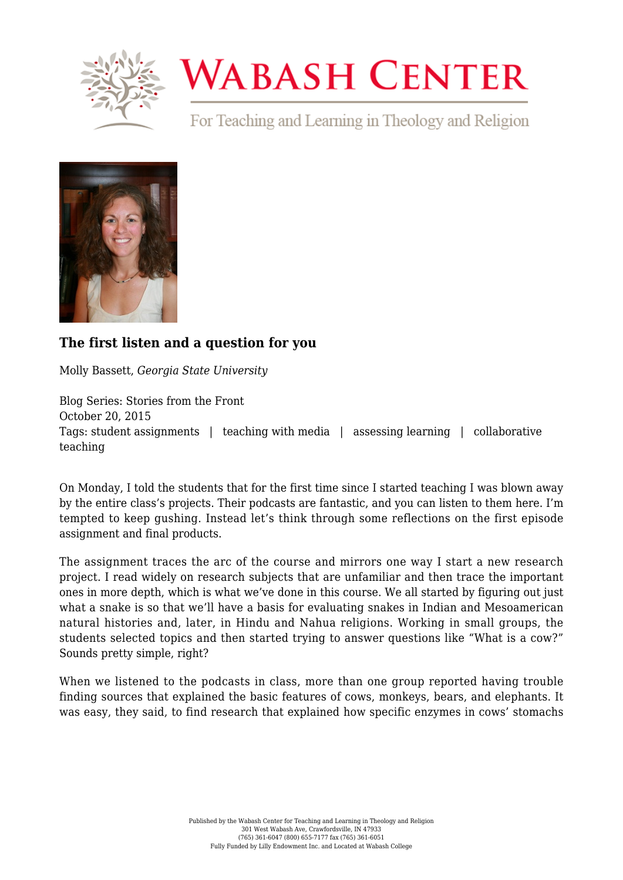

## **WABASH CENTER**

For Teaching and Learning in Theology and Religion



## **[The first listen and a question for you](https://www.wabashcenter.wabash.edu/2015/10/the-first-listen-and-a-question-for-you/)**

Molly Bassett, *Georgia State University*

Blog Series: Stories from the Front October 20, 2015 Tags: student assignments | teaching with media | assessing learning | collaborative teaching

On Monday, I told the students that for the first time since I started teaching I was blown away by the entire class's projects. Their podcasts are fantastic, and you can listen to them [here.](https://soundcloud.com/religious-dimensions) I'm tempted to keep gushing. Instead let's think through some reflections on the first episode [assignment](https://mhbassett.wordpress.com/rels-40806080/podcasting/) and final products.

The assignment traces the arc of the course and mirrors one way I start a new research project. I read widely on research subjects that are unfamiliar and then trace the important ones in more depth, which is what we've done in this course. We all started by figuring out just what a snake is so that we'll have a basis for evaluating snakes in Indian and Mesoamerican natural histories and, later, in Hindu and Nahua religions. Working in small groups, the students selected topics and then started trying to answer questions like "What is a cow?" Sounds pretty simple, right?

When we listened to the podcasts in class, more than one group reported having trouble finding sources that explained the basic features of cows, monkeys, bears, and elephants. It was easy, they said, to find research that explained how specific enzymes in cows' stomachs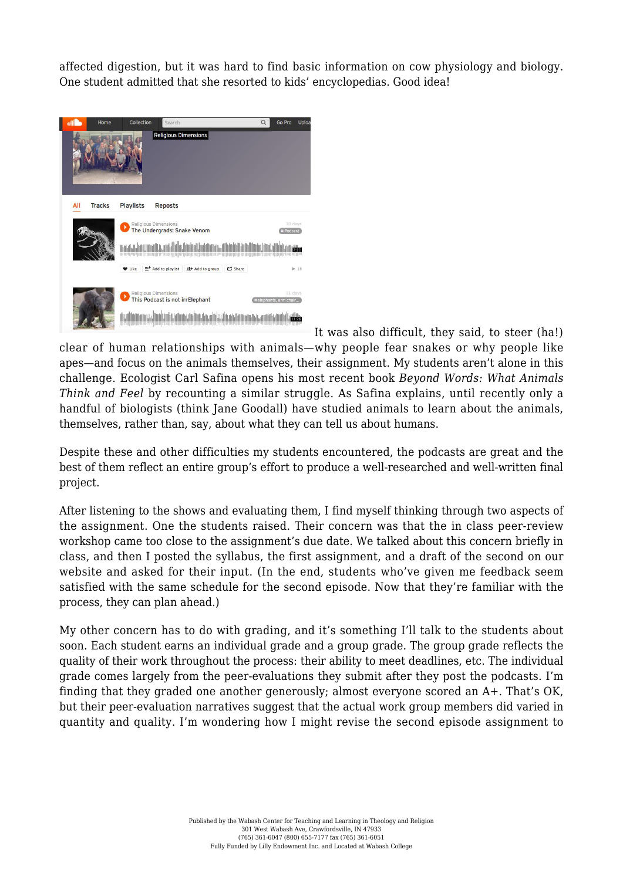affected digestion, but it was hard to find basic information on cow physiology and biology. One student admitted that she resorted to kids' encyclopedias. Good idea!



It was also difficult, they said, to steer (ha!) clear of human relationships with animals—why people fear snakes or why people like apes—and focus on the animals themselves, their assignment. My students aren't alone in this challenge. Ecologist Carl Safina opens his most recent book *[Beyond Words: What Animals](https://www.amazon.com/Beyond-Words-What-Animals-Think/dp/0805098887) [Think and Feel](https://www.amazon.com/Beyond-Words-What-Animals-Think/dp/0805098887)* by recounting a similar struggle. As Safina explains, until recently only a handful of biologists (think Jane Goodall) have studied animals to learn about the animals, themselves, rather than, say, about what they can tell us about humans.

Despite these and other difficulties my students encountered, the podcasts are great and the best of them reflect an entire group's effort to produce a well-researched and well-written final project.

After listening to the shows and evaluating them, I find myself thinking through two aspects of the assignment. One the students raised. Their concern was that the in class peer-review workshop came too close to the assignment's due date. We talked about this concern briefly in class, and then I posted the syllabus, the first assignment, and a draft of the second on our website and asked for their input. (In the end, students who've given me feedback seem satisfied with the same schedule for the second episode. Now that they're familiar with the process, they can plan ahead.)

My other concern has to do with grading, and it's something I'll talk to the students about soon. Each student earns an [individual grade and a group grade](https://mhbassett.files.wordpress.com/2015/08/creating-a-podcast-draft-e.pdf). The group grade reflects the quality of their work throughout the process: their ability to meet deadlines, etc. The individual grade comes largely from the peer-evaluations they submit after they post the podcasts. I'm finding that they graded one another generously; almost everyone scored an A+. That's OK, but their peer-evaluation narratives suggest that the actual work group members did varied in quantity and quality. I'm wondering how I might revise the second episode assignment to